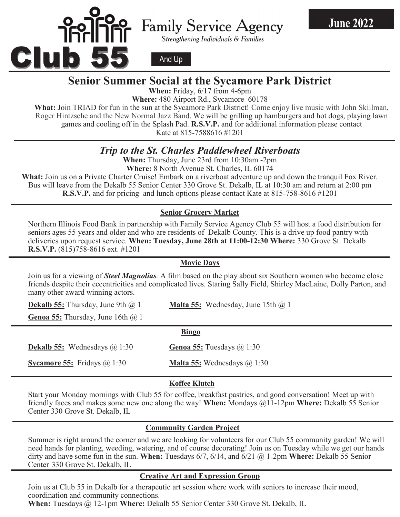

# Family Service Agency

Strengthening Individuals & Families

**June 2022** 

And Up

### **Senior Summer Social at the Sycamore Park District**

**When:** Friday,  $6/17$  from 4-6pm

**Where:** 480 Airport Rd., Sycamore 60178

What: Join TRIAD for fun in the sun at the Sycamore Park District! Come enjoy live music with John Skillman, Roger Hintzsche and the New Normal Jazz Band. We will be grilling up hamburgers and hot dogs, playing lawn games and cooling off in the Splash Pad. **R.S.V.P.** and for additional information please contact  $\frac{1}{2}$  Rate at  $\frac{1}{2}$   $\frac{1}{2}$   $\frac{1}{2}$   $\frac{1}{2}$   $\frac{1}{2}$   $\frac{1}{2}$   $\frac{1}{2}$   $\frac{1}{2}$   $\frac{1}{2}$   $\frac{1}{2}$   $\frac{1}{2}$   $\frac{1}{2}$   $\frac{1}{2}$   $\frac{1}{2}$   $\frac{1}{2}$   $\frac{1}{2}$   $\frac{1}{2}$   $\frac{1}{2}$   $\frac{1}{2}$   $\frac{1}{2}$   $\frac$ Kate at 815-7588616 #1201

## *Trip to the St. Charles Paddlewheel Riverboats*

**When:** Thursday, June 23rd from 10:30am -2pm

**Where: 8 North Avenue St. Charles, IL 60174** 

**What:** Join us on a Private Charter Cruise! Embark on a riverboat adventure up and down the tranquil Fox River. Bus will leave from the Dekalb 55 Senior Center 330 Grove St. Dekalb, IL at 10:30 am and return at 2:00 pm **R.S.V.P.** and for pricing and lunch options please contact Kate at 815-758-8616 #1201

#### **Senior Grocery Market**

Northern Illinois Food Bank in partnership with Family Service Agency Club 55 will host a food distribution for seniors ages 55 years and older and who are residents of Dekalb County. This is a drive up food pantry with deliveries upon request service. **When: Tuesday, June 28th at 11:00-12:30 Where:** 330 Grove St. Dekalb **R.S.V.P.** (815)758-8616 ext. #1201

#### **Movie Days**

Join us for a viewing of *Steel Magnolias.* A film based on the play about six Southern women who become close friends despite their eccentricities and complicated lives. Staring Sally Field, Shirley MacLaine, Dolly Parton, and many other award winning actors.

**Seasonal Movie Days Genoa 55:** Thursday, June 16th @ 1

**Dekalb 55:** Wednesdays @ 1:30

**Dekalb 55:** Thursday, June 9th @ 1 **Malta 55:** Wednesday, June 15th @ 1

#### $T$ is the season to compute of the iconic holiday favorites! We will also will be will be will be will be will be will be will be will be will be will be will be will be will be will be will be will be will be will be wil  **Bingo**

Conon **EE**, Tuesdays  $\frac{\text{trīva }33.}{\text{trīuos}}$ 

**Sycamore 55:** Fridays @ 1:30 **Malta 55:** Wednesdays @ 1:30

#### **Dekalb 55: When:** November 11th @ 1:30 **Genoa 55: When:** November 11th @ 1 **Koffee Klutch**

**Senior Grocery Market**  friendly faces and makes some new one along the way! **When:** Mondays @11-12pm **Where:** Dekalb 55 Senior  $N_{\text{N}}$   $\text{N}_{\text{N}}$   $\text{N}_{\text{N}}$   $\text{N}_{\text{N}}$  in partnership  $\text{N}_{\text{N}}$  will host a food distribution of  $\text{N}_{\text{N}}$  will host a food distribution of  $\text{N}_{\text{N}}$  will host a food distribution of  $\text{N}_{\text{N}}$  will h Start your Monday mornings with Club 55 for coffee, breakfast pastries, and good conversation! Meet up with Center 330 Grove St. Dekalb, IL

#### **for seniors and are residents of Dekalb Community Garden Project Community Gargen Froject**

Summer is right around the corner and we are looking for volunteers for our Club 55 community garden! We will  **BINGO** dirty and have some fun in the sun. **When:** Tuesdays 6/7, 6/14, and 6/21 @ 1-2pm **Where:** Dekalb 55 Senior Center 330 Grove St. Dekalb, IL need hands for planting, weeding, watering, and of course decorating! Join us on Tuesday while we get our hands

#### **Dekalb 5 Structure Art and Expression Group**

Join us at Club 55 in Dekalb for a therapeutic art session where work with seniors to increase their mood, Foll us at Club 55 III Dekato for a theraped<br>coordination and community connections.

**When:** Tuesdays @ 12-1pm **Where:** Dekalb 55 Senior Center 330 Grove St. Dekalb, IL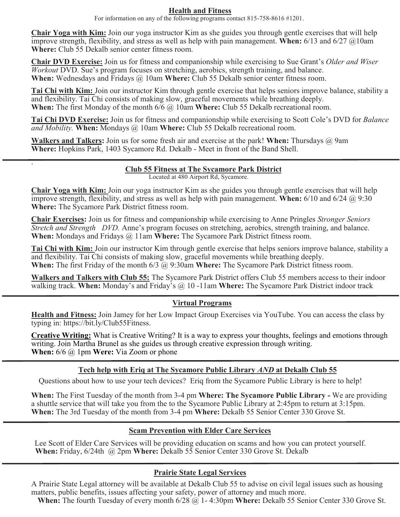#### **Health and Fitness**

For information on any of the following programs contact 815-758-8616 #1201.

**Chair Yoga with Kim:** Join our yoga instructor Kim as she guides you through gentle exercises that will help improve strength, flexibility, and stress as well as help with pain management. **When:** 6/13 and 6/27 @10am **Where:** Club 55 Dekalb senior center fitness room.

**Chair DVD Exercise:** Join us for fitness and companionship while exercising to Sue Grant's *Older and Wiser Workout* DVD. Sue's program focuses on stretching, aerobics, strength training, and balance. **When:** Wednesdays and Fridays @ 10am **Where:** Club 55 Dekalb senior center fitness room.

**Tai Chi with Kim:** Join our instructor Kim through gentle exercise that helps seniors improve balance, stability a and flexibility. Tai Chi consists of making slow, graceful movements while breathing deeply. **When:** The first Monday of the month 6/6 @ 10am **Where:** Club 55 Dekalb recreational room.

**Tai Chi DVD Exercise:** Join us for fitness and companionship while exercising to Scott Cole's DVD for *Balance and Mobility.* **When:** Mondays @ 10am **Where:** Club 55 Dekalb recreational room.

**Walkers and Talkers:** Join us for some fresh air and exercise at the park! **When:** Thursdays @ 9am **Where:** Hopkins Park, 1403 Sycamore Rd. Dekalb - Meet in front of the Band Shell.

.

#### **Club 55 Fitness at The Sycamore Park District**

Located at 480 Airport Rd, Sycamore.

**Chair Yoga with Kim:** Join our yoga instructor Kim as she guides you through gentle exercises that will help improve strength, flexibility, and stress as well as help with pain management. **When:** 6/10 and 6/24 @ 9:30 **Where:** The Sycamore Park District fitness room.

**Chair Exercises:** Join us for fitness and companionship while exercising to Anne Pringles *Stronger Seniors Stretch and Strength DVD.* Anne's program focuses on stretching, aerobics, strength training, and balance. **When:** Mondays and Fridays @ 11am **Where:** The Sycamore Park District fitness room.

**Tai Chi with Kim:** Join our instructor Kim through gentle exercise that helps seniors improve balance, stability a and flexibility. Tai Chi consists of making slow, graceful movements while breathing deeply. **When:** The first Friday of the month 6/3 @ 9:30am **Where:** The Sycamore Park District fitness room.

**Walkers and Talkers with Club 55:** The Sycamore Park District offers Club 55 members access to their indoor walking track. **When:** Monday's and Friday's @ 10 -11am **Where:** The Sycamore Park District indoor track

#### **Virtual Programs**

 **Health and Fitness:** Join Jamey for her Low Impact Group Exercises via YouTube. You can access the class by typing in: https://bit.ly/Club55Fitness.

**Creative Writing:** What is Creative Writing? It is a way to express your thoughts, feelings and emotions through writing. Join Martha Brunel as she guides us through creative expression through writing. **When:** 6/6 @ 1pm **Were:** Via Zoom or phone

#### **Tech help with Eriq at The Sycamore Public Library** *AND* **at Dekalb Club 55**

Questions about how to use your tech devices? Eriq from the Sycamore Public Library is here to help!

**When:** The First Tuesday of the month from 3-4 pm **Where: The Sycamore Public Library -** We are providing a shuttle service that will take you from the to the Sycamore Public Library at 2:45pm to return at 3:15pm. **When:** The 3rd Tuesday of the month from 3-4 pm **Where:** Dekalb 55 Senior Center 330 Grove St.

#### **Scam Prevention with Elder Care Services**

Lee Scott of Elder Care Services will be providing education on scams and how you can protect yourself.  **When:** Friday, 6/24th @ 2pm **Where:** Dekalb 55 Senior Center 330 Grove St. Dekalb

#### **Prairie State Legal Services**

A Prairie State Legal attorney will be available at Dekalb Club 55 to advise on civil legal issues such as housing matters, public benefits, issues affecting your safety, power of attorney and much more.

**When:** The fourth Tuesday of every month 6/28 @ 1- 4:30pm **Where:** Dekalb 55 Senior Center 330 Grove St.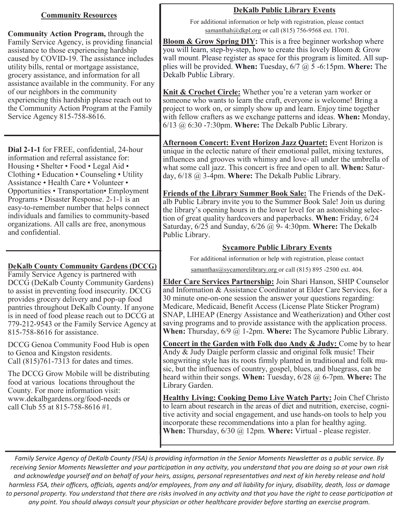#### **Community Resources**

**Community Action Program,** through the Family Service Agency, is providing financial assistance to those experiencing hardship caused by COVID-19. The assistance includes utility bills, rental or mortgage assistance, grocery assistance, and information for all assistance available in the community. For any of our neighbors in the community experiencing this hardship please reach out to the Community Action Program at the Family Service Agency 815-758-8616.

**Dial 2-1-1** for FREE, confidential, 24-hour information and referral assistance for: Housing • Shelter • Food • Legal Aid • Clothing • Education • Counseling • Utility Assistance • Health Care • Volunteer • Opportunities • Transportation• Employment Programs • Disaster Response. 2-1-1 is an easy-to-remember number that helps connect individuals and families to community-based organizations. All calls are free, anonymous and confidential.

#### **DeKalb County Community Gardens (DCCG)**

Family Service Agency is partnered with DCCG (DeKalb County Community Gardens) to assist in preventing food insecurity. DCCG provides grocery delivery and pop-up food pantries throughout DeKalb County. If anyone is in need of food please reach out to DCCG at 779-212-9543 or the Family Service Agency at 815-758-8616 for assistance.

DCCG Genoa Community Food Hub is open to Genoa and Kingston residents. Call (815)761-7313 for dates and times.

The DCCG Grow Mobile will be distributing food at various locations throughout the County. For more information visit: www.dekalbgardens.org/food-needs or call Club 55 at 815-758-8616 #1.

### **DeKalb Public Library Events**

For additional information or help with registration, please contact [samanthah@dkpl.org](mailto:samanthah@dkpl.org) or cal[l \(](mailto:samanthah@dkpl.org)815) 756-9568 ext. 1701.

**Bloom & Grow Spring DIY:** This is a free beginner workshop where you will learn, step-by-step, how to create this lovely Bloom & Grow wall mount. Please register as space for this program is limited. All supplies will be provided. **When:** Tuesday, 6/7 @ 5 -6:15pm. **Where:** The Dekalb Public Library.

**Knit & Crochet Circle:** Whether you're a veteran yarn worker or someone who wants to learn the craft, everyone is welcome! Bring a project to work on, or simply show up and learn. Enjoy time together with fellow crafters as we exchange patterns and ideas. **When:** Monday, 6/13 @ 6:30 -7:30pm. **Where:** The Dekalb Public Library.

**Afternoon Concert: Event Horizon Jazz Quartet:** Event Horizon is unique in the eclectic nature of their emotional pallet, mixing textures, influences and grooves with whimsy and love- all under the umbrella of what some call jazz. This concert is free and open to all. **When:** Saturday, 6/18 @ 3-4pm. **Where:** The Dekalb Public Library.

**Friends of the Library Summer Book Sale:** The Friends of the DeKalb Public Library invite you to the Summer Book Sale! Join us during the library's opening hours in the lower level for an astonishing selection of great quality hardcovers and paperbacks. **When:** Friday, 6/24 Saturday, 6/25 and Sunday, 6/26 @ 9- 4:30pm. **Where:** The Dekalb Public Library.

#### **Sycamore Public Library Events**

For additional information or help with registration, please contact

samanthas@sycamorelibrary.org or call (815) 895 -2500 ext. 404.

**Elder Care Services Partnership:** Join Shari Hanson, SHIP Counselor and Information & Assistance Coordinator at Elder Care Services, for a 30 minute one-on-one session the answer your questions regarding: Medicare, Medicaid, Benefit Access (License Plate Sticker Program) SNAP, LIHEAP (Energy Assistance and Weatherization) and Other cost saving programs and to provide assistance with the application process. **When:** Thursday, 6/9 @ 1-2pm. **Where:** The Sycamore Public Library.

**Concert in the Garden with Folk duo Andy & Judy:** Come by to hear Andy & Judy Daigle perform classic and original folk music! Their songwriting style has its roots firmly planted in traditional and folk music, but the influences of country, gospel, blues, and bluegrass, can be heard within their songs. **When:** Tuesday, 6/28 @ 6-7pm. **Where:** The Library Garden.

**Healthy Living: Cooking Demo Live Watch Party:** Join Chef Christo to learn about research in the areas of diet and nutrition, exercise, cognitive activity and social engagement, and use hands-on tools to help you incorporate these recommendations into a plan for healthy aging. **When:** Thursday, 6/30 @ 12pm. **Where:** Virtual - please register.

*Family Service Agency of DeKalb County (FSA) is providing information in the Senior Moments Newsletter as a public service. By receiving Senior Moments Newsletter and your participation in any activity, you understand that you are doing so at your own risk and acknowledge yourself and on behalf of your heirs, assigns, personal representatives and next of kin hereby release and hold harmless FSA, their officers, officials, agents and/or employees, from any and all liability for injury, disability, death, loss or damage to personal property. You understand that there are risks involved in any activity and that you have the right to cease participation at any point. You should always consult your physician or other healthcare provider before starting an exercise program.*